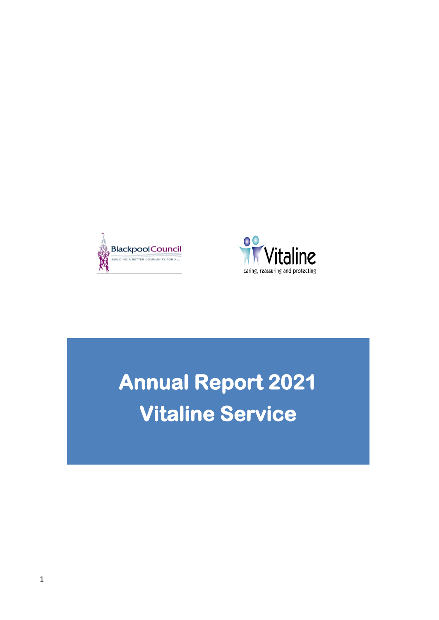



# **Annual Report 2021 Vitaline Service**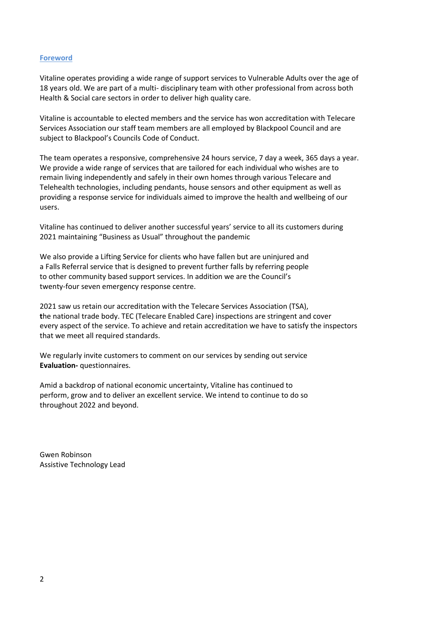# **Foreword**

Vitaline operates providing a wide range of support services to Vulnerable Adults over the age of 18 years old. We are part of a multi- disciplinary team with other professional from across both Health & Social care sectors in order to deliver high quality care.

Vitaline is accountable to elected members and the service has won accreditation with Telecare Services Association our staff team members are all employed by Blackpool Council and are subject to Blackpool's Councils Code of Conduct.

The team operates a responsive, comprehensive 24 hours service, 7 day a week, 365 days a year. We provide a wide range of services that are tailored for each individual who wishes are to remain living independently and safely in their own homes through various Telecare and Telehealth technologies, including pendants, house sensors and other equipment as well as providing a response service for individuals aimed to improve the health and wellbeing of our users.

Vitaline has continued to deliver another successful years' service to all its customers during 2021 maintaining "Business as Usual" throughout the pandemic

We also provide a Lifting Service for clients who have fallen but are uninjured and a Falls Referral service that is designed to prevent further falls by referring people to other community based support services. In addition we are the Council's twenty-four seven emergency response centre.

2021 saw us retain our accreditation with the Telecare Services Association (TSA), **t**he national trade body. TEC (Telecare Enabled Care) inspections are stringent and cover every aspect of the service. To achieve and retain accreditation we have to satisfy the inspectors that we meet all required standards.

We regularly invite customers to comment on our services by sending out service **Evaluation-** questionnaires.

Amid a backdrop of national economic uncertainty, Vitaline has continued to perform, grow and to deliver an excellent service. We intend to continue to do so throughout 2022 and beyond.

Gwen Robinson Assistive Technology Lead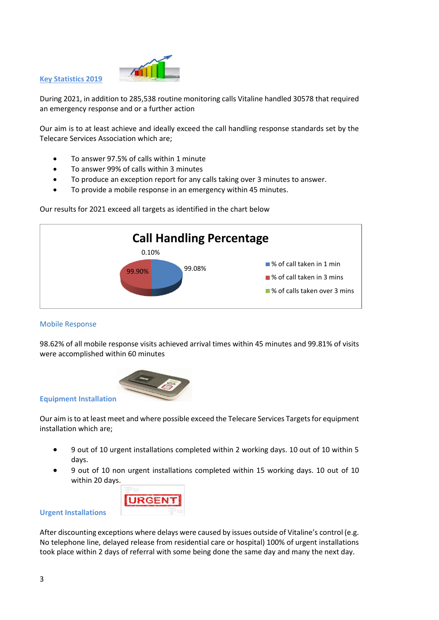

**Key Statistics 2019**

During 2021, in addition to 285,538 routine monitoring calls Vitaline handled 30578 that required an emergency response and or a further action

Our aim is to at least achieve and ideally exceed the call handling response standards set by the Telecare Services Association which are;

- To answer 97.5% of calls within 1 minute
- To answer 99% of calls within 3 minutes
- To produce an exception report for any calls taking over 3 minutes to answer.
- To provide a mobile response in an emergency within 45 minutes.

Our results for 2021 exceed all targets as identified in the chart below



# Mobile Response

98.62% of all mobile response visits achieved arrival times within 45 minutes and 99.81% of visits were accomplished within 60 minutes



#### **Equipment Installation**

Our aim is to at least meet and where possible exceed the Telecare Services Targets for equipment installation which are;

- 9 out of 10 urgent installations completed within 2 working days. 10 out of 10 within 5 days.
- 9 out of 10 non urgent installations completed within 15 working days. 10 out of 10 within 20 days.



#### **Urgent Installations**

After discounting exceptions where delays were caused by issues outside of Vitaline's control (e.g. No telephone line, delayed release from residential care or hospital) 100% of urgent installations took place within 2 days of referral with some being done the same day and many the next day.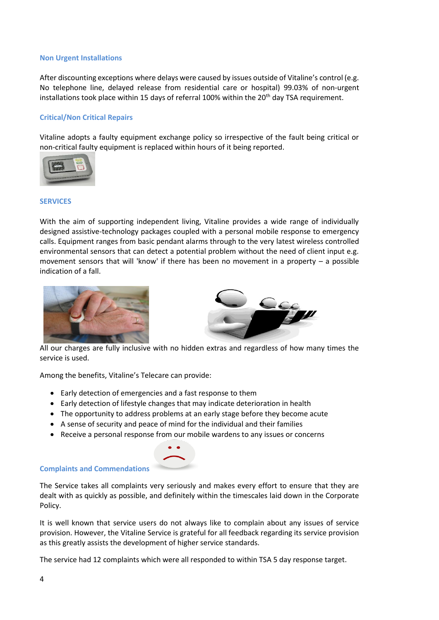#### **Non Urgent Installations**

After discounting exceptions where delays were caused by issues outside of Vitaline's control (e.g. No telephone line, delayed release from residential care or hospital) 99.03% of non-urgent installations took place within 15 days of referral 100% within the  $20<sup>th</sup>$  day TSA requirement.

# **Critical/Non Critical Repairs**

Vitaline adopts a faulty equipment exchange policy so irrespective of the fault being critical or non-critical faulty equipment is replaced within hours of it being reported.



#### **SERVICES**

With the aim of supporting independent living, Vitaline provides a wide range of individually designed assistive-technology packages coupled with a personal mobile response to emergency calls. Equipment ranges from basic pendant alarms through to the very latest wireless controlled environmental sensors that can detect a potential problem without the need of client input e.g. movement sensors that will 'know' if there has been no movement in a property – a possible indication of a fall.





All our charges are fully inclusive with no hidden extras and regardless of how many times the service is used.

Among the benefits, Vitaline's Telecare can provide:

- Early detection of emergencies and a fast response to them
- Early detection of lifestyle changes that may indicate deterioration in health
- The opportunity to address problems at an early stage before they become acute
- A sense of security and peace of mind for the individual and their families
- Receive a personal response from our mobile wardens to any issues or concerns





The Service takes all complaints very seriously and makes every effort to ensure that they are dealt with as quickly as possible, and definitely within the timescales laid down in the Corporate Policy.

It is well known that service users do not always like to complain about any issues of service provision. However, the Vitaline Service is grateful for all feedback regarding its service provision as this greatly assists the development of higher service standards.

The service had 12 complaints which were all responded to within TSA 5 day response target.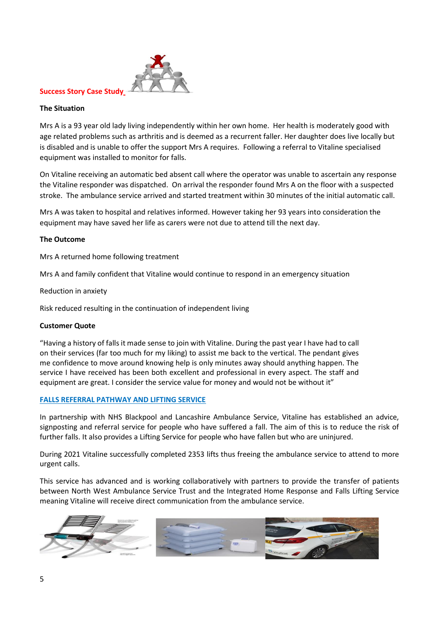

# **Success Story Case Study**

### **The Situation**

Mrs A is a 93 year old lady living independently within her own home. Her health is moderately good with age related problems such as arthritis and is deemed as a recurrent faller. Her daughter does live locally but is disabled and is unable to offer the support Mrs A requires. Following a referral to Vitaline specialised equipment was installed to monitor for falls.

On Vitaline receiving an automatic bed absent call where the operator was unable to ascertain any response the Vitaline responder was dispatched. On arrival the responder found Mrs A on the floor with a suspected stroke. The ambulance service arrived and started treatment within 30 minutes of the initial automatic call.

Mrs A was taken to hospital and relatives informed. However taking her 93 years into consideration the equipment may have saved her life as carers were not due to attend till the next day.

#### **The Outcome**

Mrs A returned home following treatment

Mrs A and family confident that Vitaline would continue to respond in an emergency situation

Reduction in anxiety

Risk reduced resulting in the continuation of independent living

#### **Customer Quote**

"Having a history of falls it made sense to join with Vitaline. During the past year I have had to call on their services (far too much for my liking) to assist me back to the vertical. The pendant gives me confidence to move around knowing help is only minutes away should anything happen. The service I have received has been both excellent and professional in every aspect. The staff and equipment are great. I consider the service value for money and would not be without it"

# **FALLS REFERRAL PATHWAY AND LIFTING SERVICE**

In partnership with NHS Blackpool and Lancashire Ambulance Service, Vitaline has established an advice, signposting and referral service for people who have suffered a fall. The aim of this is to reduce the risk of further falls. It also provides a Lifting Service for people who have fallen but who are uninjured.

During 2021 Vitaline successfully completed 2353 lifts thus freeing the ambulance service to attend to more urgent calls.

This service has advanced and is working collaboratively with partners to provide the transfer of patients between North West Ambulance Service Trust and the Integrated Home Response and Falls Lifting Service meaning Vitaline will receive direct communication from the ambulance service.

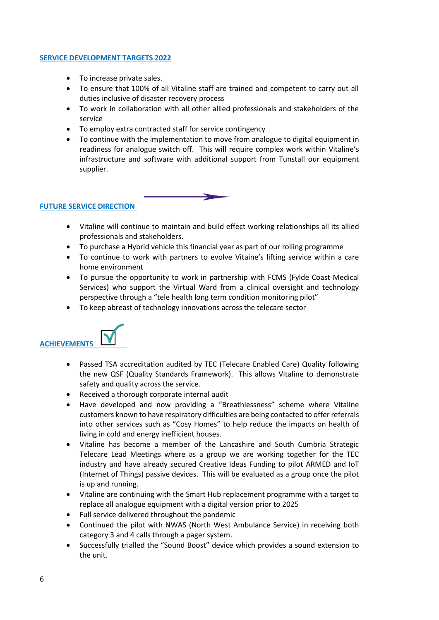# **SERVICE DEVELOPMENT TARGETS 2022**

- To increase private sales.
- To ensure that 100% of all Vitaline staff are trained and competent to carry out all duties inclusive of disaster recovery process
- To work in collaboration with all other allied professionals and stakeholders of the service
- To employ extra contracted staff for service contingency
- To continue with the implementation to move from analogue to digital equipment in readiness for analogue switch off. This will require complex work within Vitaline's infrastructure and software with additional support from Tunstall our equipment supplier.



# **FUTURE SERVICE DIRECTION**

- Vitaline will continue to maintain and build effect working relationships all its allied professionals and stakeholders.
- To purchase a Hybrid vehicle this financial year as part of our rolling programme
- To continue to work with partners to evolve Vitaine's lifting service within a care home environment
- To pursue the opportunity to work in partnership with FCMS (Fylde Coast Medical Services) who support the Virtual Ward from a clinical oversight and technology perspective through a "tele health long term condition monitoring pilot"
- To keep abreast of technology innovations across the telecare sector



- Passed TSA accreditation audited by TEC (Telecare Enabled Care) Quality following the new QSF (Quality Standards Framework). This allows Vitaline to demonstrate safety and quality across the service.
- Received a thorough corporate internal audit
- Have developed and now providing a "Breathlessness" scheme where Vitaline customers known to have respiratory difficulties are being contacted to offer referrals into other services such as "Cosy Homes" to help reduce the impacts on health of living in cold and energy inefficient houses.
- Vitaline has become a member of the Lancashire and South Cumbria Strategic Telecare Lead Meetings where as a group we are working together for the TEC industry and have already secured Creative Ideas Funding to pilot ARMED and IoT (Internet of Things) passive devices. This will be evaluated as a group once the pilot is up and running.
- Vitaline are continuing with the Smart Hub replacement programme with a target to replace all analogue equipment with a digital version prior to 2025
- Full service delivered throughout the pandemic
- Continued the pilot with NWAS (North West Ambulance Service) in receiving both category 3 and 4 calls through a pager system.
- Successfully trialled the "Sound Boost" device which provides a sound extension to the unit.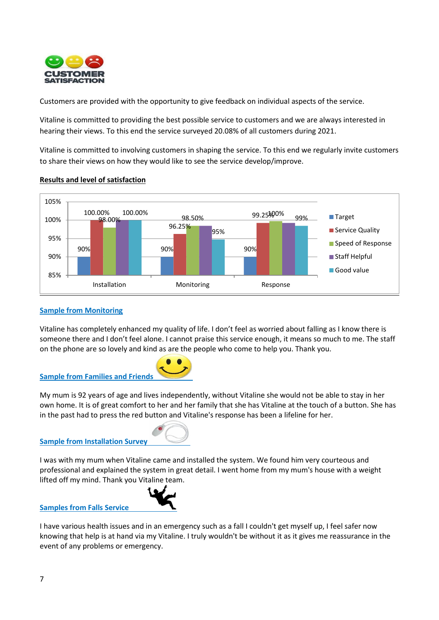

Customers are provided with the opportunity to give feedback on individual aspects of the service.

Vitaline is committed to providing the best possible service to customers and we are always interested in hearing their views. To this end the service surveyed 20.08% of all customers during 2021.

Vitaline is committed to involving customers in shaping the service. To this end we regularly invite customers to share their views on how they would like to see the service develop/improve.



# **Results and level of satisfaction**

# **Sample from Monitoring**

Vitaline has completely enhanced my quality of life. I don't feel as worried about falling as I know there is someone there and I don't feel alone. I cannot praise this service enough, it means so much to me. The staff on the phone are so lovely and kind as are the people who come to help you. Thank you.



My mum is 92 years of age and lives independently, without Vitaline she would not be able to stay in her own home. It is of great comfort to her and her family that she has Vitaline at the touch of a button. She has in the past had to press the red button and Vitaline's response has been a lifeline for her.

# **Sample from Installation Survey**



I was with my mum when Vitaline came and installed the system. We found him very courteous and professional and explained the system in great detail. I went home from my mum's house with a weight lifted off my mind. Thank you Vitaline team.



**Samples from Falls Service** 

I have various health issues and in an emergency such as a fall I couldn't get myself up, I feel safer now knowing that help is at hand via my Vitaline. I truly wouldn't be without it as it gives me reassurance in the event of any problems or emergency.